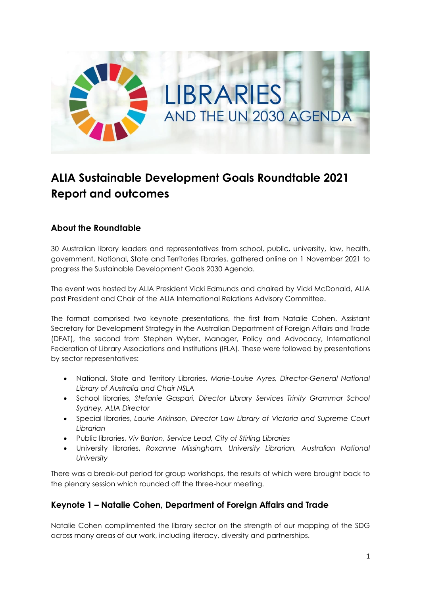

# **ALIA Sustainable Development Goals Roundtable 2021 Report and outcomes**

# **About the Roundtable**

30 Australian library leaders and representatives from school, public, university, law, health, government, National, State and Territories libraries, gathered online on 1 November 2021 to progress the Sustainable Development Goals 2030 Agenda.

The event was hosted by ALIA President Vicki Edmunds and chaired by Vicki McDonald, ALIA past President and Chair of the ALIA International Relations Advisory Committee.

The format comprised two keynote presentations, the first from Natalie Cohen, Assistant Secretary for Development Strategy in the Australian Department of Foreign Affairs and Trade (DFAT), the second from Stephen Wyber, Manager, Policy and Advocacy, International Federation of Library Associations and Institutions (IFLA). These were followed by presentations by sector representatives:

- National, State and Territory Libraries, *Marie-Louise Ayres, Director-General National Library of Australia and Chair NSLA*
- School libraries, *Stefanie Gaspari, Director Library Services Trinity Grammar School Sydney, ALIA Director*
- Special libraries, *Laurie Atkinson, Director Law Library of Victoria and Supreme Court Librarian*
- Public libraries, *Viv Barton, Service Lead, City of Stirling Libraries*
- University libraries, *Roxanne Missingham, University Librarian, Australian National University*

There was a break-out period for group workshops, the results of which were brought back to the plenary session which rounded off the three-hour meeting.

## **Keynote 1 – Natalie Cohen, Department of Foreign Affairs and Trade**

Natalie Cohen complimented the library sector on the strength of our mapping of the SDG across many areas of our work, including literacy, diversity and partnerships.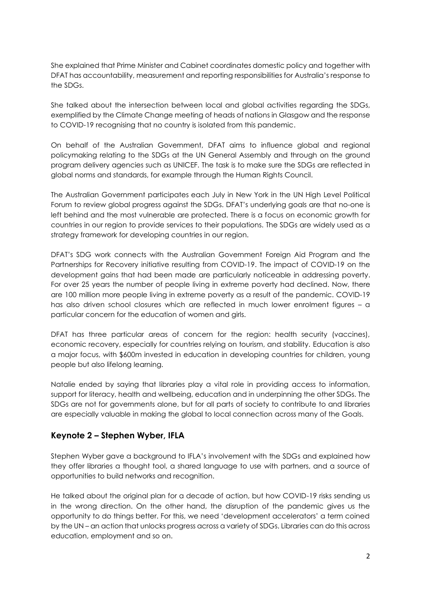She explained that Prime Minister and Cabinet coordinates domestic policy and together with DFAT has accountability, measurement and reporting responsibilities for Australia's response to the SDGs.

She talked about the intersection between local and global activities regarding the SDGs, exemplified by the Climate Change meeting of heads of nations in Glasgow and the response to COVID-19 recognising that no country is isolated from this pandemic.

On behalf of the Australian Government, DFAT aims to influence global and regional policymaking relating to the SDGs at the UN General Assembly and through on the ground program delivery agencies such as UNICEF. The task is to make sure the SDGs are reflected in global norms and standards, for example through the Human Rights Council.

The Australian Government participates each July in New York in the UN High Level Political Forum to review global progress against the SDGs. DFAT's underlying goals are that no-one is left behind and the most vulnerable are protected. There is a focus on economic growth for countries in our region to provide services to their populations. The SDGs are widely used as a strategy framework for developing countries in our region.

DFAT's SDG work connects with the Australian Government Foreign Aid Program and the Partnerships for Recovery initiative resulting from COVID-19. The impact of COVID-19 on the development gains that had been made are particularly noticeable in addressing poverty. For over 25 years the number of people living in extreme poverty had declined. Now, there are 100 million more people living in extreme poverty as a result of the pandemic. COVID-19 has also driven school closures which are reflected in much lower enrolment figures – a particular concern for the education of women and girls.

DFAT has three particular areas of concern for the region: health security (vaccines), economic recovery, especially for countries relying on tourism, and stability. Education is also a major focus, with \$600m invested in education in developing countries for children, young people but also lifelong learning.

Natalie ended by saying that libraries play a vital role in providing access to information, support for literacy, health and wellbeing, education and in underpinning the other SDGs. The SDGs are not for governments alone, but for all parts of society to contribute to and libraries are especially valuable in making the global to local connection across many of the Goals.

## **Keynote 2 – Stephen Wyber, IFLA**

Stephen Wyber gave a background to IFLA's involvement with the SDGs and explained how they offer libraries a thought tool, a shared language to use with partners, and a source of opportunities to build networks and recognition.

He talked about the original plan for a decade of action, but how COVID-19 risks sending us in the wrong direction. On the other hand, the disruption of the pandemic gives us the opportunity to do things better. For this, we need 'development accelerators' a term coined by the UN – an action that unlocks progress across a variety of SDGs. Libraries can do this across education, employment and so on.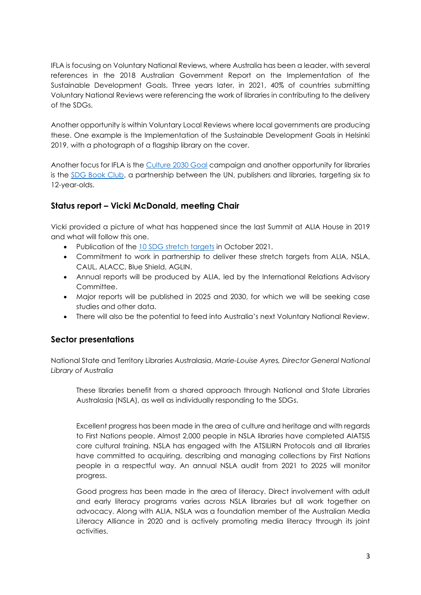IFLA is focusing on Voluntary National Reviews, where Australia has been a leader, with several references in the 2018 Australian Government Report on the Implementation of the Sustainable Development Goals. Three years later, in 2021, 40% of countries submitting Voluntary National Reviews were referencing the work of libraries in contributing to the delivery of the SDGs.

Another opportunity is within Voluntary Local Reviews where local governments are producing these. One example is the Implementation of the Sustainable Development Goals in Helsinki 2019, with a photograph of a flagship library on the cover.

Another focus for IFLA is the [Culture 2030 Goal](http://culture2030goal.net/) campaign and another opportunity for libraries is the [SDG Book Club,](https://www.un.org/sustainabledevelopment/sdgbookclub/) a partnership between the UN, publishers and libraries, targeting six to 12-year-olds.

# **Status report – Vicki McDonald, meeting Chair**

Vicki provided a picture of what has happened since the last Summit at ALIA House in 2019 and what will follow this one.

- Publication of the [10 SDG stretch targets](https://www.alia.org.au/Web/Advocacy-Partnerships/Sustainable-Development-Goals/Web/About-Us/Advocacy/Sustainable%20Development%20Goals.aspx?hkey=4a65cac5-04c1-4be8-b509-d342763f8e2b) in October 2021.
- Commitment to work in partnership to deliver these stretch targets from ALIA, NSLA, CAUL, ALACC, Blue Shield, AGLIN.
- Annual reports will be produced by ALIA, led by the International Relations Advisory Committee.
- Major reports will be published in 2025 and 2030, for which we will be seeking case studies and other data.
- There will also be the potential to feed into Australia's next Voluntary National Review.

## **Sector presentations**

National State and Territory Libraries Australasia, *Marie-Louise Ayres, Director General National Library of Australia*

These libraries benefit from a shared approach through National and State Libraries Australasia (NSLA), as well as individually responding to the SDGs.

Excellent progress has been made in the area of culture and heritage and with regards to First Nations people. Almost 2,000 people in NSLA libraries have completed AIATSIS core cultural training. NSLA has engaged with the ATSILIRN Protocols and all libraries have committed to acquiring, describing and managing collections by First Nations people in a respectful way. An annual NSLA audit from 2021 to 2025 will monitor progress.

Good progress has been made in the area of literacy. Direct involvement with adult and early literacy programs varies across NSLA libraries but all work together on advocacy. Along with ALIA, NSLA was a foundation member of the Australian Media Literacy Alliance in 2020 and is actively promoting media literacy through its joint activities.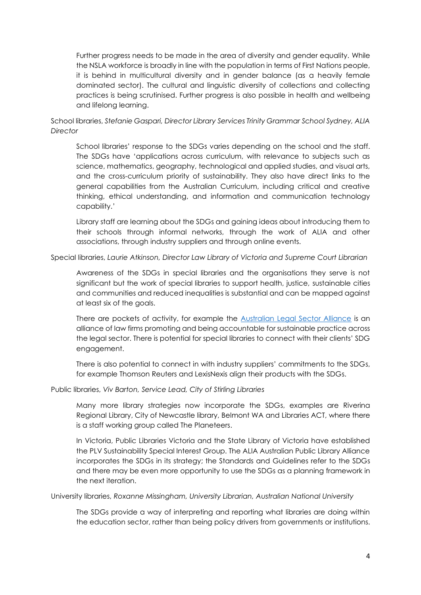Further progress needs to be made in the area of diversity and gender equality. While the NSLA workforce is broadly in line with the population in terms of First Nations people, it is behind in multicultural diversity and in gender balance (as a heavily female dominated sector). The cultural and linguistic diversity of collections and collecting practices is being scrutinised. Further progress is also possible in health and wellbeing and lifelong learning.

School libraries, *Stefanie Gaspari, Director Library Services Trinity Grammar School Sydney, ALIA Director*

School libraries' response to the SDGs varies depending on the school and the staff. The SDGs have 'applications across curriculum, with relevance to subjects such as science, mathematics, geography, technological and applied studies, and visual arts, and the cross-curriculum priority of sustainability. They also have direct links to the general capabilities from the Australian Curriculum, including critical and creative thinking, ethical understanding, and information and communication technology capability.'

Library staff are learning about the SDGs and gaining ideas about introducing them to their schools through informal networks, through the work of ALIA and other associations, through industry suppliers and through online events.

Special libraries, *Laurie Atkinson, Director Law Library of Victoria and Supreme Court Librarian*

Awareness of the SDGs in special libraries and the organisations they serve is not significant but the work of special libraries to support health, justice, sustainable cities and communities and reduced inequalities is substantial and can be mapped against at least six of the goals.

There are pockets of activity, for example the [Australian Legal Sector Alliance](http://www.legalsectoralliance.com.au/about) is an alliance of law firms promoting and being accountable for sustainable practice across the legal sector. There is potential for special libraries to connect with their clients' SDG engagement.

There is also potential to connect in with industry suppliers' commitments to the SDGs, for example Thomson Reuters and LexisNexis align their products with the SDGs.

Public libraries, *Viv Barton, Service Lead, City of Stirling Libraries*

Many more library strategies now incorporate the SDGs, examples are Riverina Regional Library, City of Newcastle library, Belmont WA and Libraries ACT, where there is a staff working group called The Planeteers.

In Victoria, Public Libraries Victoria and the State Library of Victoria have established the PLV Sustainability Special Interest Group. The ALIA Australian Public Library Alliance incorporates the SDGs in its strategy; the Standards and Guidelines refer to the SDGs and there may be even more opportunity to use the SDGs as a planning framework in the next iteration.

University libraries, *Roxanne Missingham, University Librarian, Australian National University*

The SDGs provide a way of interpreting and reporting what libraries are doing within the education sector, rather than being policy drivers from governments or institutions.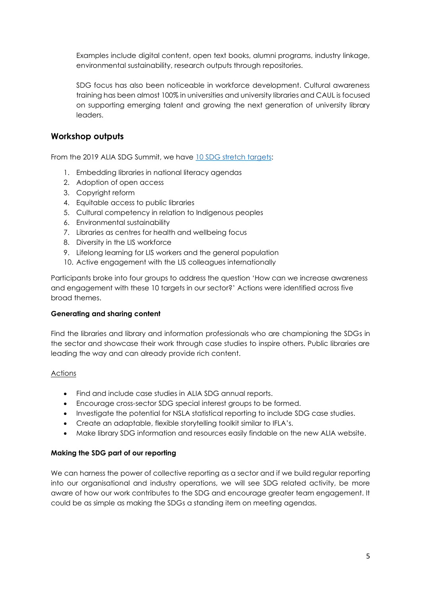Examples include digital content, open text books, alumni programs, industry linkage, environmental sustainability, research outputs through repositories.

SDG focus has also been noticeable in workforce development. Cultural awareness training has been almost 100% in universities and university libraries and CAUL is focused on supporting emerging talent and growing the next generation of university library leaders.

## **Workshop outputs**

From the 2019 ALIA SDG Summit, we have [10 SDG stretch targets:](https://www.alia.org.au/Web/Advocacy-Partnerships/Sustainable-Development-Goals/Web/About-Us/Advocacy/Sustainable%20Development%20Goals.aspx?hkey=4a65cac5-04c1-4be8-b509-d342763f8e2b)

- 1. Embedding libraries in national literacy agendas
- 2. Adoption of open access
- 3. Copyright reform
- 4. Equitable access to public libraries
- 5. Cultural competency in relation to Indigenous peoples
- 6. Environmental sustainability
- 7. Libraries as centres for health and wellbeing focus
- 8. Diversity in the LIS workforce
- 9. Lifelong learning for LIS workers and the general population
- 10. Active engagement with the LIS colleagues internationally

Participants broke into four groups to address the question 'How can we increase awareness and engagement with these 10 targets in our sector?' Actions were identified across five broad themes.

#### **Generating and sharing content**

Find the libraries and library and information professionals who are championing the SDGs in the sector and showcase their work through case studies to inspire others. Public libraries are leading the way and can already provide rich content.

#### Actions

- Find and include case studies in ALIA SDG annual reports.
- Encourage cross-sector SDG special interest groups to be formed.
- Investigate the potential for NSLA statistical reporting to include SDG case studies.
- Create an adaptable, flexible storytelling toolkit similar to IFLA's.
- Make library SDG information and resources easily findable on the new ALIA website.

#### **Making the SDG part of our reporting**

We can harness the power of collective reporting as a sector and if we build regular reporting into our organisational and industry operations, we will see SDG related activity, be more aware of how our work contributes to the SDG and encourage greater team engagement. It could be as simple as making the SDGs a standing item on meeting agendas.